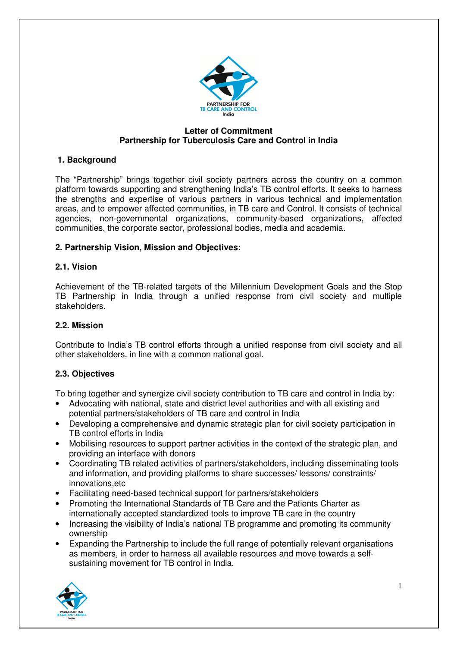

#### **Letter of Commitment Partnership for Tuberculosis Care and Control in India**

## **1. Background**

The "Partnership" brings together civil society partners across the country on a common platform towards supporting and strengthening India's TB control efforts. It seeks to harness the strengths and expertise of various partners in various technical and implementation areas, and to empower affected communities, in TB care and Control. It consists of technical agencies, non-governmental organizations, community-based organizations, affected communities, the corporate sector, professional bodies, media and academia.

### **2. Partnership Vision, Mission and Objectives:**

### **2.1. Vision**

Achievement of the TB-related targets of the Millennium Development Goals and the Stop TB Partnership in India through a unified response from civil society and multiple stakeholders.

### **2.2. Mission**

Contribute to India's TB control efforts through a unified response from civil society and all other stakeholders, in line with a common national goal.

#### **2.3. Objectives**

To bring together and synergize civil society contribution to TB care and control in India by:

- Advocating with national, state and district level authorities and with all existing and potential partners/stakeholders of TB care and control in India
- Developing a comprehensive and dynamic strategic plan for civil society participation in TB control efforts in India
- Mobilising resources to support partner activities in the context of the strategic plan, and providing an interface with donors
- Coordinating TB related activities of partners/stakeholders, including disseminating tools and information, and providing platforms to share successes/ lessons/ constraints/ innovations,etc
- Facilitating need-based technical support for partners/stakeholders
- Promoting the International Standards of TB Care and the Patients Charter as internationally accepted standardized tools to improve TB care in the country
- Increasing the visibility of India's national TB programme and promoting its community ownership
- Expanding the Partnership to include the full range of potentially relevant organisations as members, in order to harness all available resources and move towards a selfsustaining movement for TB control in India.